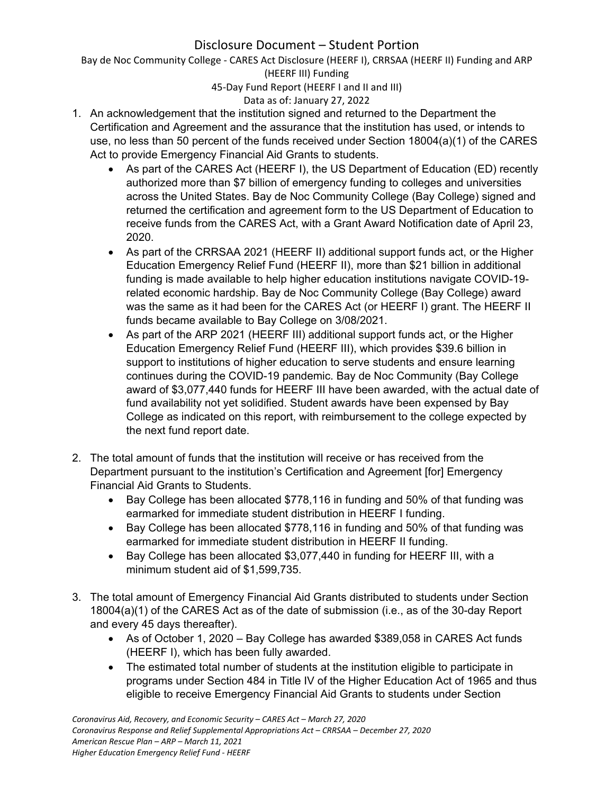Bay de Noc Community College ‐ CARES Act Disclosure (HEERF I), CRRSAA (HEERF II) Funding and ARP (HEERF III) Funding

45‐Day Fund Report (HEERF I and II and III)

## Data as of: January 27, 2022

- 1. An acknowledgement that the institution signed and returned to the Department the Certification and Agreement and the assurance that the institution has used, or intends to use, no less than 50 percent of the funds received under Section 18004(a)(1) of the CARES Act to provide Emergency Financial Aid Grants to students.
	- As part of the CARES Act (HEERF I), the US Department of Education (ED) recently authorized more than \$7 billion of emergency funding to colleges and universities across the United States. Bay de Noc Community College (Bay College) signed and returned the certification and agreement form to the US Department of Education to receive funds from the CARES Act, with a Grant Award Notification date of April 23, 2020.
	- As part of the CRRSAA 2021 (HEERF II) additional support funds act, or the Higher Education Emergency Relief Fund (HEERF II), more than \$21 billion in additional funding is made available to help higher education institutions navigate COVID-19 related economic hardship. Bay de Noc Community College (Bay College) award was the same as it had been for the CARES Act (or HEERF I) grant. The HEERF II funds became available to Bay College on 3/08/2021.
	- As part of the ARP 2021 (HEERF III) additional support funds act, or the Higher Education Emergency Relief Fund (HEERF III), which provides \$39.6 billion in support to institutions of higher education to serve students and ensure learning continues during the COVID-19 pandemic. Bay de Noc Community (Bay College award of \$3,077,440 funds for HEERF III have been awarded, with the actual date of fund availability not yet solidified. Student awards have been expensed by Bay College as indicated on this report, with reimbursement to the college expected by the next fund report date.
- 2. The total amount of funds that the institution will receive or has received from the Department pursuant to the institution's Certification and Agreement [for] Emergency Financial Aid Grants to Students.
	- Bay College has been allocated \$778,116 in funding and 50% of that funding was earmarked for immediate student distribution in HEERF I funding.
	- Bay College has been allocated \$778,116 in funding and 50% of that funding was earmarked for immediate student distribution in HEERF II funding.
	- Bay College has been allocated \$3,077,440 in funding for HEERF III, with a minimum student aid of \$1,599,735.
- 3. The total amount of Emergency Financial Aid Grants distributed to students under Section 18004(a)(1) of the CARES Act as of the date of submission (i.e., as of the 30-day Report and every 45 days thereafter).
	- As of October 1, 2020 Bay College has awarded \$389,058 in CARES Act funds (HEERF I), which has been fully awarded.
	- The estimated total number of students at the institution eligible to participate in programs under Section 484 in Title IV of the Higher Education Act of 1965 and thus eligible to receive Emergency Financial Aid Grants to students under Section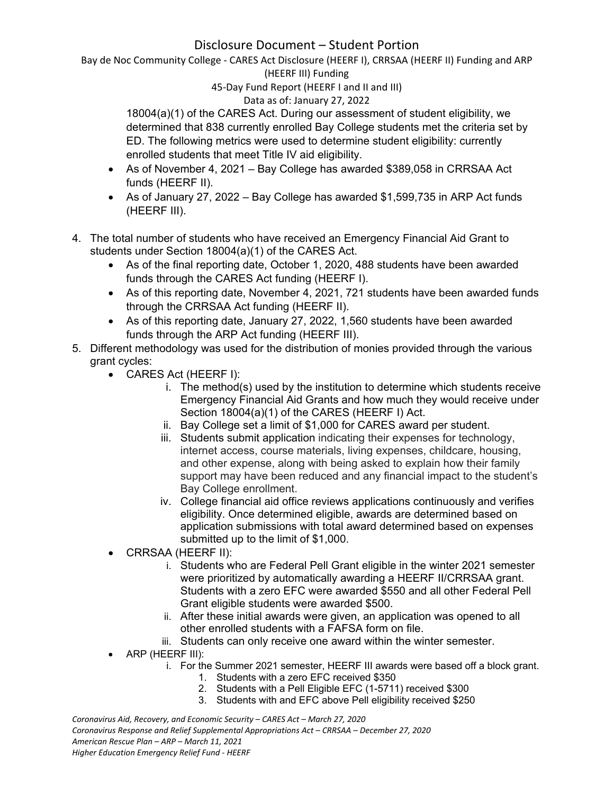Bay de Noc Community College ‐ CARES Act Disclosure (HEERF I), CRRSAA (HEERF II) Funding and ARP (HEERF III) Funding

45‐Day Fund Report (HEERF I and II and III)

## Data as of: January 27, 2022

18004(a)(1) of the CARES Act. During our assessment of student eligibility, we determined that 838 currently enrolled Bay College students met the criteria set by ED. The following metrics were used to determine student eligibility: currently enrolled students that meet Title IV aid eligibility.

- As of November 4, 2021 Bay College has awarded \$389,058 in CRRSAA Act funds (HEERF II).
- As of January 27, 2022 Bay College has awarded \$1,599,735 in ARP Act funds (HEERF III).
- 4. The total number of students who have received an Emergency Financial Aid Grant to students under Section 18004(a)(1) of the CARES Act.
	- As of the final reporting date, October 1, 2020, 488 students have been awarded funds through the CARES Act funding (HEERF I).
	- As of this reporting date, November 4, 2021, 721 students have been awarded funds through the CRRSAA Act funding (HEERF II).
	- As of this reporting date, January 27, 2022, 1,560 students have been awarded funds through the ARP Act funding (HEERF III).
- 5. Different methodology was used for the distribution of monies provided through the various grant cycles:
	- CARES Act (HEERF I):
		- i. The method(s) used by the institution to determine which students receive Emergency Financial Aid Grants and how much they would receive under Section 18004(a)(1) of the CARES (HEERF I) Act.
		- ii. Bay College set a limit of \$1,000 for CARES award per student.
		- iii. Students submit application indicating their expenses for technology, internet access, course materials, living expenses, childcare, housing, and other expense, along with being asked to explain how their family support may have been reduced and any financial impact to the student's Bay College enrollment.
		- iv. College financial aid office reviews applications continuously and verifies eligibility. Once determined eligible, awards are determined based on application submissions with total award determined based on expenses submitted up to the limit of \$1,000.
	- CRRSAA (HEERF II):
		- i. Students who are Federal Pell Grant eligible in the winter 2021 semester were prioritized by automatically awarding a HEERF II/CRRSAA grant. Students with a zero EFC were awarded \$550 and all other Federal Pell Grant eligible students were awarded \$500.
		- ii. After these initial awards were given, an application was opened to all other enrolled students with a FAFSA form on file.
		- iii. Students can only receive one award within the winter semester.
	- ARP (HEERF III):
		- i. For the Summer 2021 semester, HEERF III awards were based off a block grant.
			- 1. Students with a zero EFC received \$350
			- 2. Students with a Pell Eligible EFC (1-5711) received \$300
			- 3. Students with and EFC above Pell eligibility received \$250

*Coronavirus Aid, Recovery, and Economic Security – CARES Act – March 27, 2020 Coronavirus Response and Relief Supplemental Appropriations Act – CRRSAA – December 27, 2020 American Rescue Plan – ARP – March 11, 2021 Higher Education Emergency Relief Fund ‐ HEERF*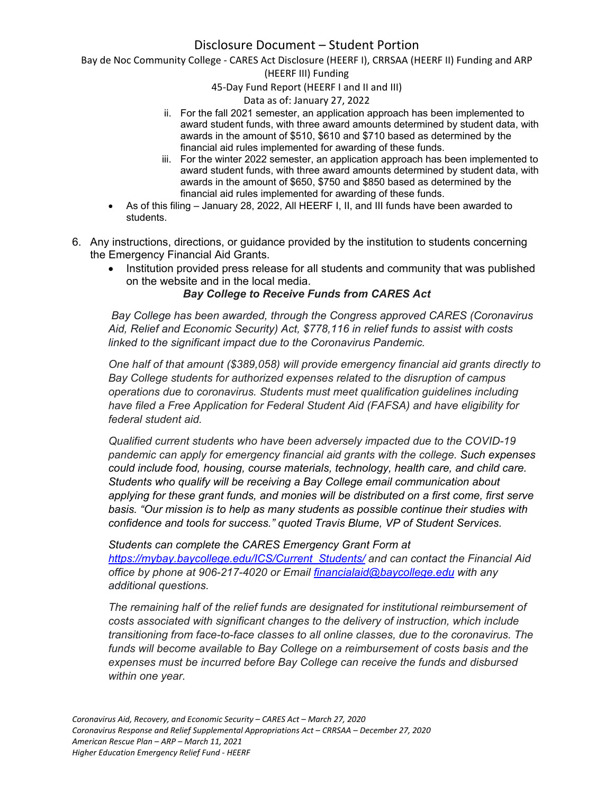Bay de Noc Community College ‐ CARES Act Disclosure (HEERF I), CRRSAA (HEERF II) Funding and ARP

#### (HEERF III) Funding

45‐Day Fund Report (HEERF I and II and III)

#### Data as of: January 27, 2022

- ii. For the fall 2021 semester, an application approach has been implemented to award student funds, with three award amounts determined by student data, with awards in the amount of \$510, \$610 and \$710 based as determined by the financial aid rules implemented for awarding of these funds.
- iii. For the winter 2022 semester, an application approach has been implemented to award student funds, with three award amounts determined by student data, with awards in the amount of \$650, \$750 and \$850 based as determined by the financial aid rules implemented for awarding of these funds.
- As of this filing January 28, 2022, All HEERF I, II, and III funds have been awarded to students.
- 6. Any instructions, directions, or guidance provided by the institution to students concerning the Emergency Financial Aid Grants.
	- Institution provided press release for all students and community that was published on the website and in the local media.

### *Bay College to Receive Funds from CARES Act*

 *Bay College has been awarded, through the Congress approved CARES (Coronavirus Aid, Relief and Economic Security) Act, \$778,116 in relief funds to assist with costs linked to the significant impact due to the Coronavirus Pandemic.*

*One half of that amount (\$389,058) will provide emergency financial aid grants directly to Bay College students for authorized expenses related to the disruption of campus operations due to coronavirus. Students must meet qualification guidelines including have filed a Free Application for Federal Student Aid (FAFSA) and have eligibility for federal student aid.* 

*Qualified current students who have been adversely impacted due to the COVID-19 pandemic can apply for emergency financial aid grants with the college. Such expenses could include food, housing, course materials, technology, health care, and child care. Students who qualify will be receiving a Bay College email communication about applying for these grant funds, and monies will be distributed on a first come, first serve basis. "Our mission is to help as many students as possible continue their studies with confidence and tools for success." quoted Travis Blume, VP of Student Services.*

*Students can complete the CARES Emergency Grant Form at https://mybay.baycollege.edu/ICS/Current\_Students/ and can contact the Financial Aid office by phone at 906-217-4020 or Email financialaid@baycollege.edu with any additional questions.*

*The remaining half of the relief funds are designated for institutional reimbursement of costs associated with significant changes to the delivery of instruction, which include transitioning from face-to-face classes to all online classes, due to the coronavirus. The funds will become available to Bay College on a reimbursement of costs basis and the expenses must be incurred before Bay College can receive the funds and disbursed within one year.*